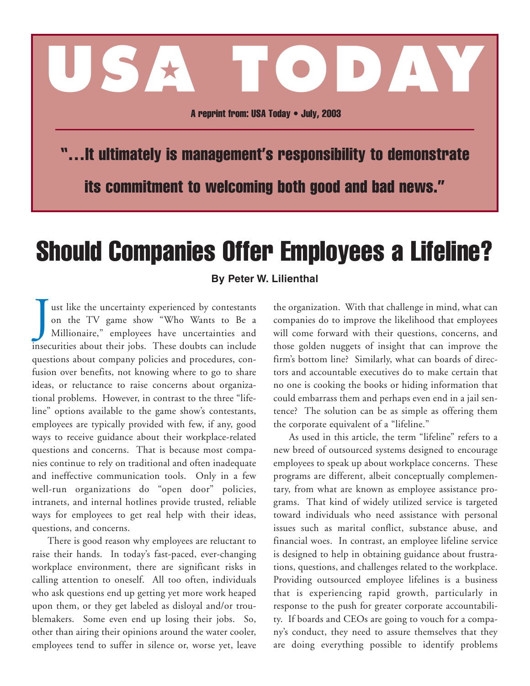## A reprint from: USA Today • July, 2003

**USA TODAY**

"…It ultimately is management's responsibility to demonstrate its commitment to welcoming both good and bad news."

## Should Companies Offer Employees a Lifeline?

## **By Peter W. Lilienthal**

J ust like the uncertainty experienced by contestants on the TV game show "Who Wants to Be a Millionaire," employees have uncertainties and insecurities about their jobs. These doubts can include questions about company policies and procedures, confusion over benefits, not knowing where to go to share ideas, or reluctance to raise concerns about organizational problems. However, in contrast to the three "lifeline" options available to the game show's contestants, employees are typically provided with few, if any, good ways to receive guidance about their workplace-related questions and concerns. That is because most companies continue to rely on traditional and often inadequate and ineffective communication tools. Only in a few well-run organizations do "open door" policies, intranets, and internal hotlines provide trusted, reliable ways for employees to get real help with their ideas, questions, and concerns.

There is good reason why employees are reluctant to raise their hands. In today's fast-paced, ever-changing workplace environment, there are significant risks in calling attention to oneself. All too often, individuals who ask questions end up getting yet more work heaped upon them, or they get labeled as disloyal and/or troublemakers. Some even end up losing their jobs. So, other than airing their opinions around the water cooler, employees tend to suffer in silence or, worse yet, leave the organization. With that challenge in mind, what can companies do to improve the likelihood that employees will come forward with their questions, concerns, and those golden nuggets of insight that can improve the firm's bottom line? Similarly, what can boards of directors and accountable executives do to make certain that no one is cooking the books or hiding information that could embarrass them and perhaps even end in a jail sentence? The solution can be as simple as offering them the corporate equivalent of a "lifeline."

As used in this article, the term "lifeline" refers to a new breed of outsourced systems designed to encourage employees to speak up about workplace concerns. These programs are different, albeit conceptually complementary, from what are known as employee assistance programs. That kind of widely utilized service is targeted toward individuals who need assistance with personal issues such as marital conflict, substance abuse, and financial woes. In contrast, an employee lifeline service is designed to help in obtaining guidance about frustrations, questions, and challenges related to the workplace. Providing outsourced employee lifelines is a business that is experiencing rapid growth, particularly in response to the push for greater corporate accountability. If boards and CEOs are going to vouch for a company's conduct, they need to assure themselves that they are doing everything possible to identify problems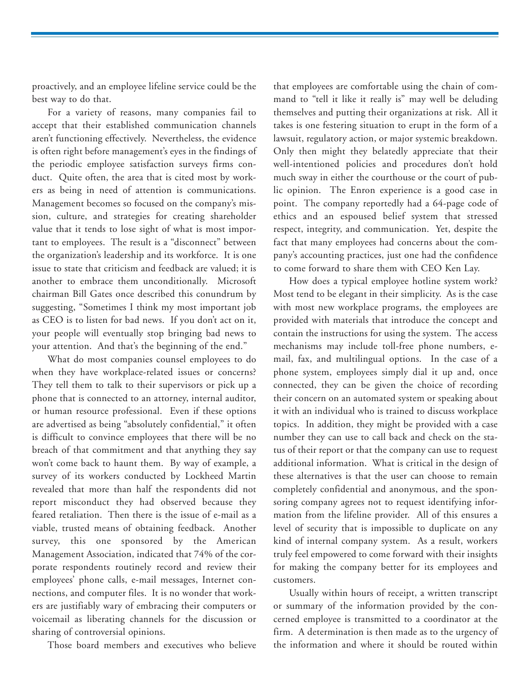proactively, and an employee lifeline service could be the best way to do that.

For a variety of reasons, many companies fail to accept that their established communication channels aren't functioning effectively. Nevertheless, the evidence is often right before management's eyes in the findings of the periodic employee satisfaction surveys firms conduct. Quite often, the area that is cited most by workers as being in need of attention is communications. Management becomes so focused on the company's mission, culture, and strategies for creating shareholder value that it tends to lose sight of what is most important to employees. The result is a "disconnect" between the organization's leadership and its workforce. It is one issue to state that criticism and feedback are valued; it is another to embrace them unconditionally. Microsoft chairman Bill Gates once described this conundrum by suggesting, "Sometimes I think my most important job as CEO is to listen for bad news. If you don't act on it, your people will eventually stop bringing bad news to your attention. And that's the beginning of the end."

What do most companies counsel employees to do when they have workplace-related issues or concerns? They tell them to talk to their supervisors or pick up a phone that is connected to an attorney, internal auditor, or human resource professional. Even if these options are advertised as being "absolutely confidential," it often is difficult to convince employees that there will be no breach of that commitment and that anything they say won't come back to haunt them. By way of example, a survey of its workers conducted by Lockheed Martin revealed that more than half the respondents did not report misconduct they had observed because they feared retaliation. Then there is the issue of e-mail as a viable, trusted means of obtaining feedback. Another survey, this one sponsored by the American Management Association, indicated that 74% of the corporate respondents routinely record and review their employees' phone calls, e-mail messages, Internet connections, and computer files. It is no wonder that workers are justifiably wary of embracing their computers or voicemail as liberating channels for the discussion or sharing of controversial opinions.

Those board members and executives who believe

that employees are comfortable using the chain of command to "tell it like it really is" may well be deluding themselves and putting their organizations at risk. All it takes is one festering situation to erupt in the form of a lawsuit, regulatory action, or major systemic breakdown. Only then might they belatedly appreciate that their well-intentioned policies and procedures don't hold much sway in either the courthouse or the court of public opinion. The Enron experience is a good case in point. The company reportedly had a 64-page code of ethics and an espoused belief system that stressed respect, integrity, and communication. Yet, despite the fact that many employees had concerns about the company's accounting practices, just one had the confidence to come forward to share them with CEO Ken Lay.

How does a typical employee hotline system work? Most tend to be elegant in their simplicity. As is the case with most new workplace programs, the employees are provided with materials that introduce the concept and contain the instructions for using the system. The access mechanisms may include toll-free phone numbers, email, fax, and multilingual options. In the case of a phone system, employees simply dial it up and, once connected, they can be given the choice of recording their concern on an automated system or speaking about it with an individual who is trained to discuss workplace topics. In addition, they might be provided with a case number they can use to call back and check on the status of their report or that the company can use to request additional information. What is critical in the design of these alternatives is that the user can choose to remain completely confidential and anonymous, and the sponsoring company agrees not to request identifying information from the lifeline provider. All of this ensures a level of security that is impossible to duplicate on any kind of internal company system. As a result, workers truly feel empowered to come forward with their insights for making the company better for its employees and customers.

Usually within hours of receipt, a written transcript or summary of the information provided by the concerned employee is transmitted to a coordinator at the firm. A determination is then made as to the urgency of the information and where it should be routed within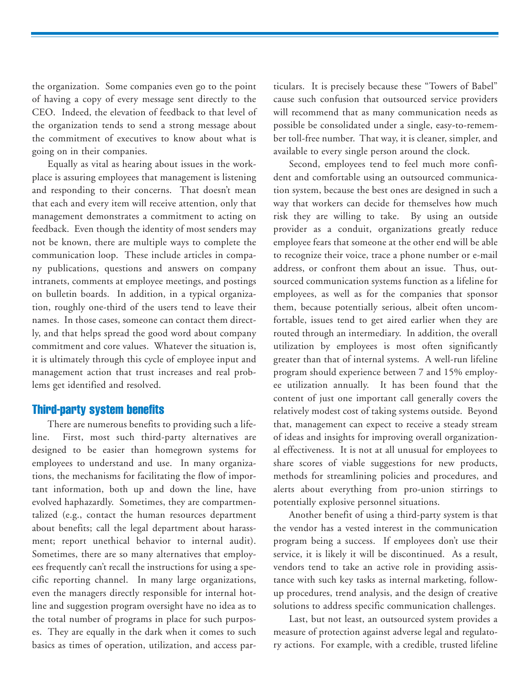the organization. Some companies even go to the point of having a copy of every message sent directly to the CEO. Indeed, the elevation of feedback to that level of the organization tends to send a strong message about the commitment of executives to know about what is going on in their companies.

Equally as vital as hearing about issues in the workplace is assuring employees that management is listening and responding to their concerns. That doesn't mean that each and every item will receive attention, only that management demonstrates a commitment to acting on feedback. Even though the identity of most senders may not be known, there are multiple ways to complete the communication loop. These include articles in company publications, questions and answers on company intranets, comments at employee meetings, and postings on bulletin boards. In addition, in a typical organization, roughly one-third of the users tend to leave their names. In those cases, someone can contact them directly, and that helps spread the good word about company commitment and core values. Whatever the situation is, it is ultimately through this cycle of employee input and management action that trust increases and real problems get identified and resolved.

## Third-party system benefits

There are numerous benefits to providing such a lifeline. First, most such third-party alternatives are designed to be easier than homegrown systems for employees to understand and use. In many organizations, the mechanisms for facilitating the flow of important information, both up and down the line, have evolved haphazardly. Sometimes, they are compartmentalized (e.g., contact the human resources department about benefits; call the legal department about harassment; report unethical behavior to internal audit). Sometimes, there are so many alternatives that employees frequently can't recall the instructions for using a specific reporting channel. In many large organizations, even the managers directly responsible for internal hotline and suggestion program oversight have no idea as to the total number of programs in place for such purposes. They are equally in the dark when it comes to such basics as times of operation, utilization, and access particulars. It is precisely because these "Towers of Babel" cause such confusion that outsourced service providers will recommend that as many communication needs as possible be consolidated under a single, easy-to-remember toll-free number. That way, it is cleaner, simpler, and available to every single person around the clock.

Second, employees tend to feel much more confident and comfortable using an outsourced communication system, because the best ones are designed in such a way that workers can decide for themselves how much risk they are willing to take. By using an outside provider as a conduit, organizations greatly reduce employee fears that someone at the other end will be able to recognize their voice, trace a phone number or e-mail address, or confront them about an issue. Thus, outsourced communication systems function as a lifeline for employees, as well as for the companies that sponsor them, because potentially serious, albeit often uncomfortable, issues tend to get aired earlier when they are routed through an intermediary. In addition, the overall utilization by employees is most often significantly greater than that of internal systems. A well-run lifeline program should experience between 7 and 15% employee utilization annually. It has been found that the content of just one important call generally covers the relatively modest cost of taking systems outside. Beyond that, management can expect to receive a steady stream of ideas and insights for improving overall organizational effectiveness. It is not at all unusual for employees to share scores of viable suggestions for new products, methods for streamlining policies and procedures, and alerts about everything from pro-union stirrings to potentially explosive personnel situations.

Another benefit of using a third-party system is that the vendor has a vested interest in the communication program being a success. If employees don't use their service, it is likely it will be discontinued. As a result, vendors tend to take an active role in providing assistance with such key tasks as internal marketing, followup procedures, trend analysis, and the design of creative solutions to address specific communication challenges.

Last, but not least, an outsourced system provides a measure of protection against adverse legal and regulatory actions. For example, with a credible, trusted lifeline